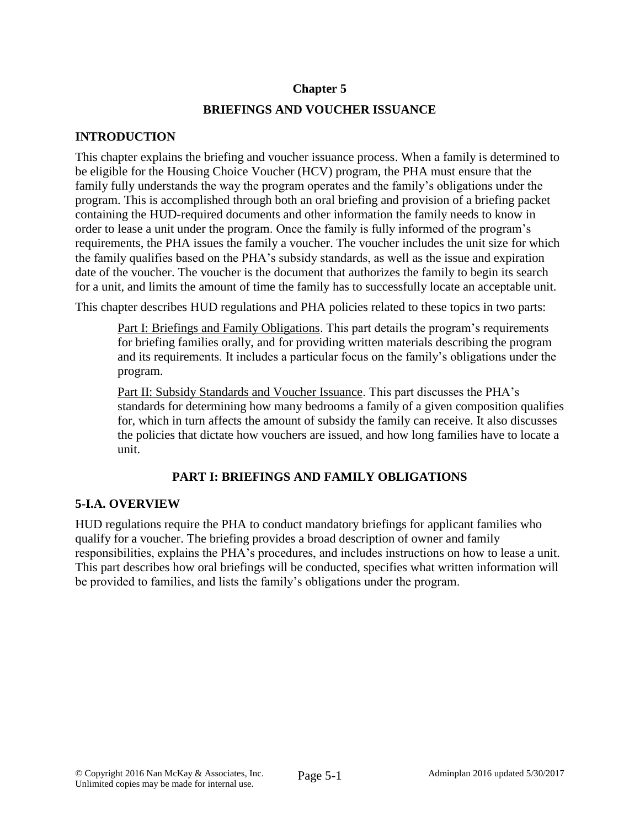### **Chapter 5**

## **BRIEFINGS AND VOUCHER ISSUANCE**

### **INTRODUCTION**

This chapter explains the briefing and voucher issuance process. When a family is determined to be eligible for the Housing Choice Voucher (HCV) program, the PHA must ensure that the family fully understands the way the program operates and the family's obligations under the program. This is accomplished through both an oral briefing and provision of a briefing packet containing the HUD-required documents and other information the family needs to know in order to lease a unit under the program. Once the family is fully informed of the program's requirements, the PHA issues the family a voucher. The voucher includes the unit size for which the family qualifies based on the PHA's subsidy standards, as well as the issue and expiration date of the voucher. The voucher is the document that authorizes the family to begin its search for a unit, and limits the amount of time the family has to successfully locate an acceptable unit.

This chapter describes HUD regulations and PHA policies related to these topics in two parts:

Part I: Briefings and Family Obligations. This part details the program's requirements for briefing families orally, and for providing written materials describing the program and its requirements. It includes a particular focus on the family's obligations under the program.

Part II: Subsidy Standards and Voucher Issuance. This part discusses the PHA's standards for determining how many bedrooms a family of a given composition qualifies for, which in turn affects the amount of subsidy the family can receive. It also discusses the policies that dictate how vouchers are issued, and how long families have to locate a unit.

# **PART I: BRIEFINGS AND FAMILY OBLIGATIONS**

## **5-I.A. OVERVIEW**

HUD regulations require the PHA to conduct mandatory briefings for applicant families who qualify for a voucher. The briefing provides a broad description of owner and family responsibilities, explains the PHA's procedures, and includes instructions on how to lease a unit. This part describes how oral briefings will be conducted, specifies what written information will be provided to families, and lists the family's obligations under the program.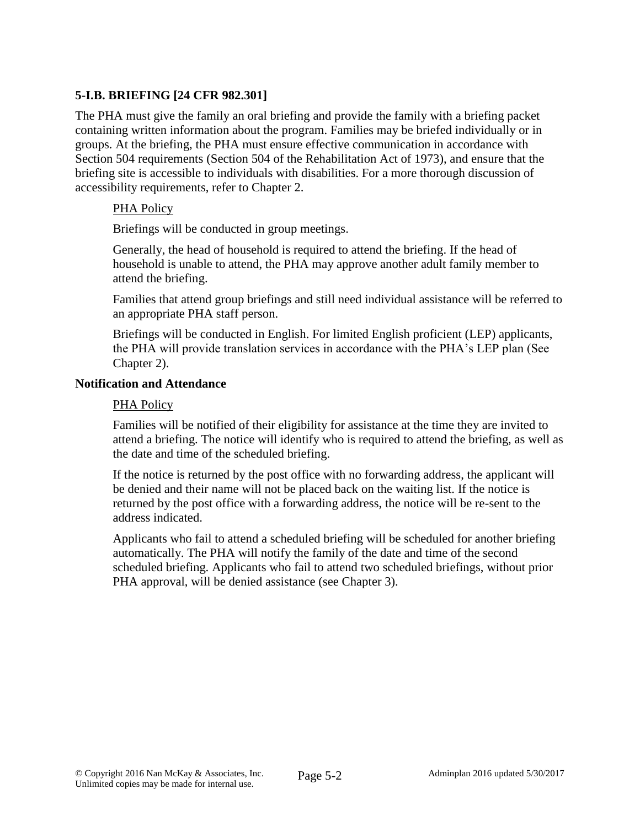# **5-I.B. BRIEFING [24 CFR 982.301]**

The PHA must give the family an oral briefing and provide the family with a briefing packet containing written information about the program. Families may be briefed individually or in groups. At the briefing, the PHA must ensure effective communication in accordance with Section 504 requirements (Section 504 of the Rehabilitation Act of 1973), and ensure that the briefing site is accessible to individuals with disabilities. For a more thorough discussion of accessibility requirements, refer to Chapter 2.

### PHA Policy

Briefings will be conducted in group meetings.

Generally, the head of household is required to attend the briefing. If the head of household is unable to attend, the PHA may approve another adult family member to attend the briefing.

Families that attend group briefings and still need individual assistance will be referred to an appropriate PHA staff person.

Briefings will be conducted in English. For limited English proficient (LEP) applicants, the PHA will provide translation services in accordance with the PHA's LEP plan (See Chapter 2).

### **Notification and Attendance**

### PHA Policy

Families will be notified of their eligibility for assistance at the time they are invited to attend a briefing. The notice will identify who is required to attend the briefing, as well as the date and time of the scheduled briefing.

If the notice is returned by the post office with no forwarding address, the applicant will be denied and their name will not be placed back on the waiting list. If the notice is returned by the post office with a forwarding address, the notice will be re-sent to the address indicated.

Applicants who fail to attend a scheduled briefing will be scheduled for another briefing automatically. The PHA will notify the family of the date and time of the second scheduled briefing. Applicants who fail to attend two scheduled briefings, without prior PHA approval, will be denied assistance (see Chapter 3).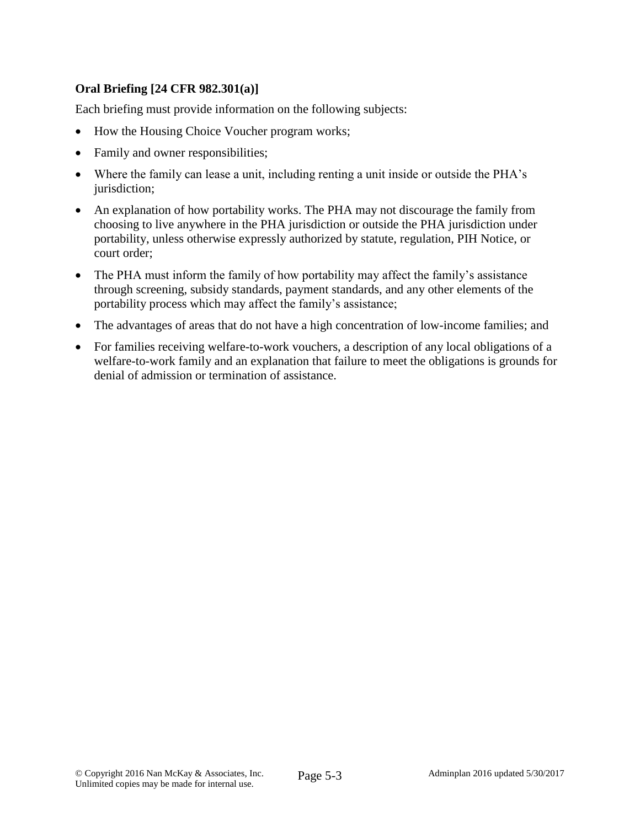# **Oral Briefing [24 CFR 982.301(a)]**

Each briefing must provide information on the following subjects:

- How the Housing Choice Voucher program works;
- Family and owner responsibilities;
- Where the family can lease a unit, including renting a unit inside or outside the PHA's jurisdiction;
- An explanation of how portability works. The PHA may not discourage the family from choosing to live anywhere in the PHA jurisdiction or outside the PHA jurisdiction under portability, unless otherwise expressly authorized by statute, regulation, PIH Notice, or court order;
- The PHA must inform the family of how portability may affect the family's assistance through screening, subsidy standards, payment standards, and any other elements of the portability process which may affect the family's assistance;
- The advantages of areas that do not have a high concentration of low-income families; and
- For families receiving welfare-to-work vouchers, a description of any local obligations of a welfare-to-work family and an explanation that failure to meet the obligations is grounds for denial of admission or termination of assistance.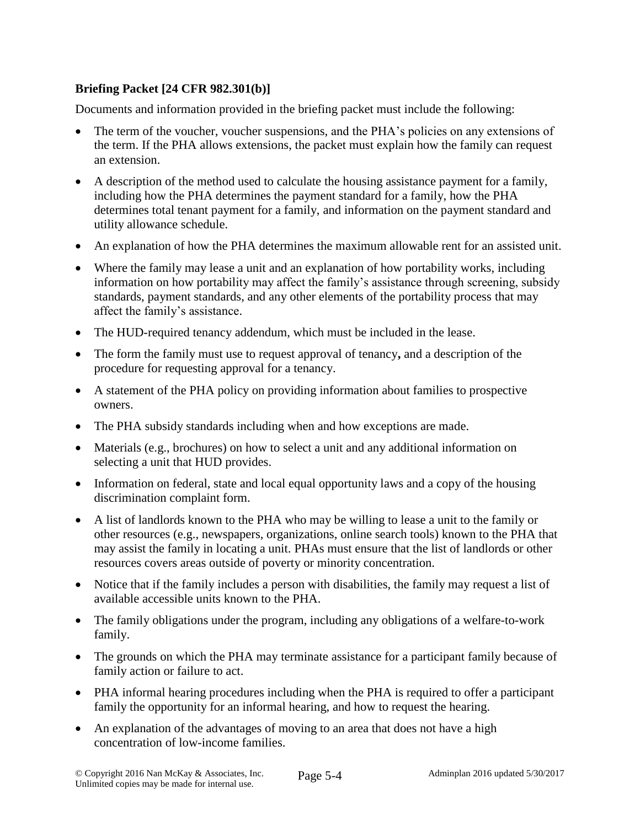# **Briefing Packet [24 CFR 982.301(b)]**

Documents and information provided in the briefing packet must include the following:

- The term of the voucher, voucher suspensions, and the PHA's policies on any extensions of the term. If the PHA allows extensions, the packet must explain how the family can request an extension.
- A description of the method used to calculate the housing assistance payment for a family, including how the PHA determines the payment standard for a family, how the PHA determines total tenant payment for a family, and information on the payment standard and utility allowance schedule.
- An explanation of how the PHA determines the maximum allowable rent for an assisted unit.
- Where the family may lease a unit and an explanation of how portability works, including information on how portability may affect the family's assistance through screening, subsidy standards, payment standards, and any other elements of the portability process that may affect the family's assistance.
- The HUD-required tenancy addendum, which must be included in the lease.
- The form the family must use to request approval of tenancy**,** and a description of the procedure for requesting approval for a tenancy.
- A statement of the PHA policy on providing information about families to prospective owners.
- The PHA subsidy standards including when and how exceptions are made.
- Materials (e.g., brochures) on how to select a unit and any additional information on selecting a unit that HUD provides.
- Information on federal, state and local equal opportunity laws and a copy of the housing discrimination complaint form.
- A list of landlords known to the PHA who may be willing to lease a unit to the family or other resources (e.g., newspapers, organizations, online search tools) known to the PHA that may assist the family in locating a unit. PHAs must ensure that the list of landlords or other resources covers areas outside of poverty or minority concentration.
- Notice that if the family includes a person with disabilities, the family may request a list of available accessible units known to the PHA.
- The family obligations under the program, including any obligations of a welfare-to-work family.
- The grounds on which the PHA may terminate assistance for a participant family because of family action or failure to act.
- PHA informal hearing procedures including when the PHA is required to offer a participant family the opportunity for an informal hearing, and how to request the hearing.
- An explanation of the advantages of moving to an area that does not have a high concentration of low-income families.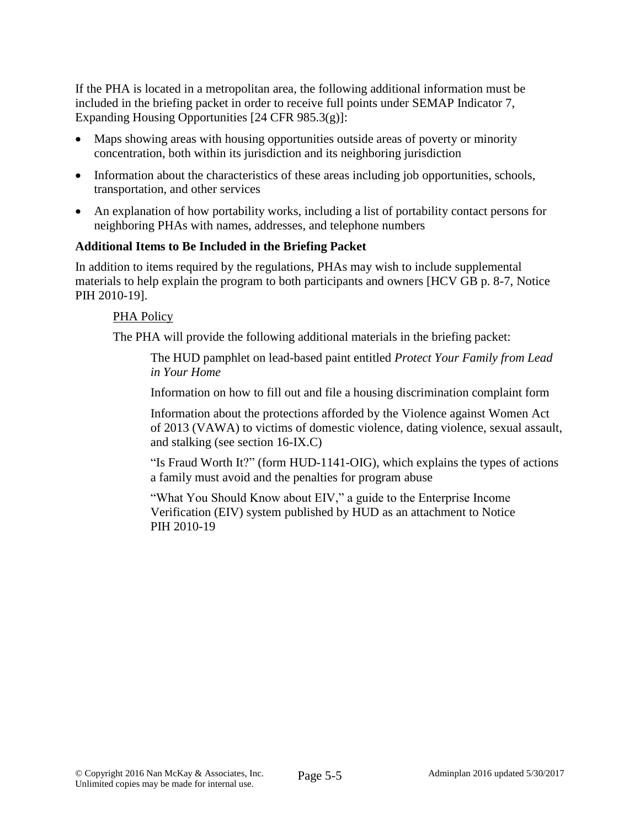If the PHA is located in a metropolitan area, the following additional information must be included in the briefing packet in order to receive full points under SEMAP Indicator 7, Expanding Housing Opportunities [24 CFR 985.3(g)]:

- Maps showing areas with housing opportunities outside areas of poverty or minority concentration, both within its jurisdiction and its neighboring jurisdiction
- Information about the characteristics of these areas including job opportunities, schools, transportation, and other services
- An explanation of how portability works, including a list of portability contact persons for neighboring PHAs with names, addresses, and telephone numbers

## **Additional Items to Be Included in the Briefing Packet**

In addition to items required by the regulations, PHAs may wish to include supplemental materials to help explain the program to both participants and owners [HCV GB p. 8-7, Notice PIH 2010-19].

## PHA Policy

The PHA will provide the following additional materials in the briefing packet:

The HUD pamphlet on lead-based paint entitled *Protect Your Family from Lead in Your Home*

Information on how to fill out and file a housing discrimination complaint form

Information about the protections afforded by the Violence against Women Act of 2013 (VAWA) to victims of domestic violence, dating violence, sexual assault, and stalking (see section 16-IX.C)

"Is Fraud Worth It?" (form HUD-1141-OIG), which explains the types of actions a family must avoid and the penalties for program abuse

"What You Should Know about EIV," a guide to the Enterprise Income Verification (EIV) system published by HUD as an attachment to Notice PIH 2010-19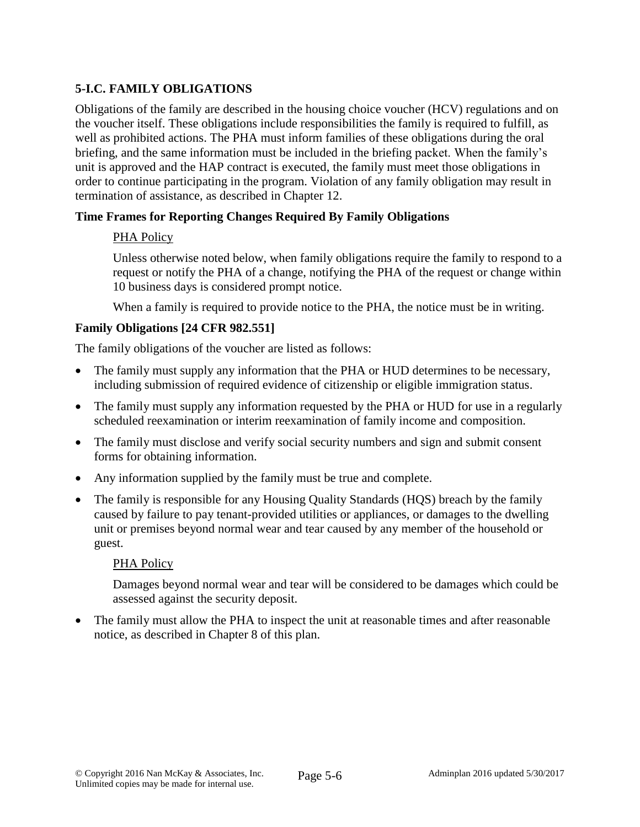# **5-I.C. FAMILY OBLIGATIONS**

Obligations of the family are described in the housing choice voucher (HCV) regulations and on the voucher itself. These obligations include responsibilities the family is required to fulfill, as well as prohibited actions. The PHA must inform families of these obligations during the oral briefing, and the same information must be included in the briefing packet. When the family's unit is approved and the HAP contract is executed, the family must meet those obligations in order to continue participating in the program. Violation of any family obligation may result in termination of assistance, as described in Chapter 12.

## **Time Frames for Reporting Changes Required By Family Obligations**

## PHA Policy

Unless otherwise noted below, when family obligations require the family to respond to a request or notify the PHA of a change, notifying the PHA of the request or change within 10 business days is considered prompt notice.

When a family is required to provide notice to the PHA, the notice must be in writing.

## **Family Obligations [24 CFR 982.551]**

The family obligations of the voucher are listed as follows:

- The family must supply any information that the PHA or HUD determines to be necessary, including submission of required evidence of citizenship or eligible immigration status.
- The family must supply any information requested by the PHA or HUD for use in a regularly scheduled reexamination or interim reexamination of family income and composition.
- The family must disclose and verify social security numbers and sign and submit consent forms for obtaining information.
- Any information supplied by the family must be true and complete.
- The family is responsible for any Housing Quality Standards (HQS) breach by the family caused by failure to pay tenant-provided utilities or appliances, or damages to the dwelling unit or premises beyond normal wear and tear caused by any member of the household or guest.

#### PHA Policy

Damages beyond normal wear and tear will be considered to be damages which could be assessed against the security deposit.

 The family must allow the PHA to inspect the unit at reasonable times and after reasonable notice, as described in Chapter 8 of this plan.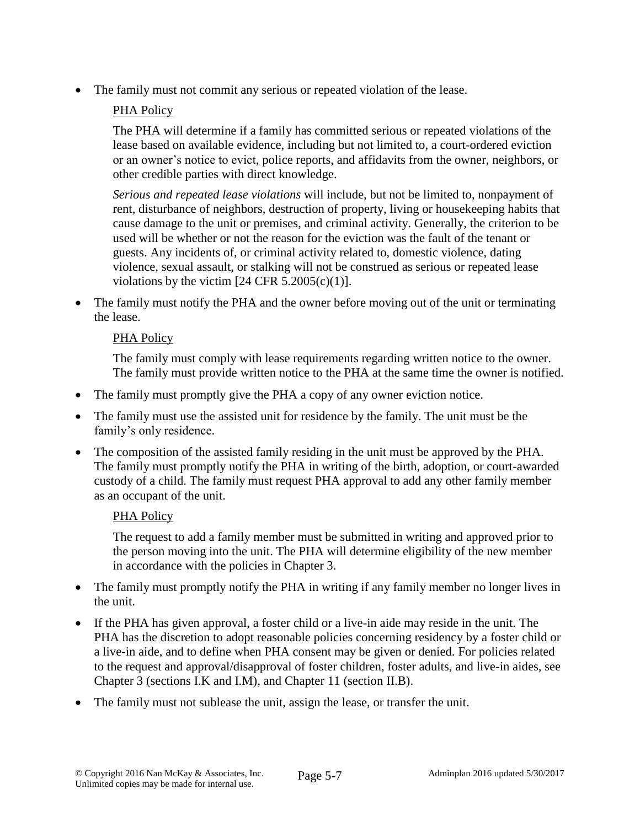The family must not commit any serious or repeated violation of the lease.

# PHA Policy

The PHA will determine if a family has committed serious or repeated violations of the lease based on available evidence, including but not limited to, a court-ordered eviction or an owner's notice to evict, police reports, and affidavits from the owner, neighbors, or other credible parties with direct knowledge.

*Serious and repeated lease violations* will include, but not be limited to, nonpayment of rent, disturbance of neighbors, destruction of property, living or housekeeping habits that cause damage to the unit or premises, and criminal activity. Generally, the criterion to be used will be whether or not the reason for the eviction was the fault of the tenant or guests. Any incidents of, or criminal activity related to, domestic violence, dating violence, sexual assault, or stalking will not be construed as serious or repeated lease violations by the victim  $[24 \text{ CFR } 5.2005(c)(1)].$ 

 The family must notify the PHA and the owner before moving out of the unit or terminating the lease.

## PHA Policy

The family must comply with lease requirements regarding written notice to the owner. The family must provide written notice to the PHA at the same time the owner is notified.

- The family must promptly give the PHA a copy of any owner eviction notice.
- The family must use the assisted unit for residence by the family. The unit must be the family's only residence.
- The composition of the assisted family residing in the unit must be approved by the PHA. The family must promptly notify the PHA in writing of the birth, adoption, or court-awarded custody of a child. The family must request PHA approval to add any other family member as an occupant of the unit.

# PHA Policy

The request to add a family member must be submitted in writing and approved prior to the person moving into the unit. The PHA will determine eligibility of the new member in accordance with the policies in Chapter 3.

- The family must promptly notify the PHA in writing if any family member no longer lives in the unit.
- If the PHA has given approval, a foster child or a live-in aide may reside in the unit. The PHA has the discretion to adopt reasonable policies concerning residency by a foster child or a live-in aide, and to define when PHA consent may be given or denied. For policies related to the request and approval/disapproval of foster children, foster adults, and live-in aides, see Chapter 3 (sections I.K and I.M), and Chapter 11 (section II.B).
- The family must not sublease the unit, assign the lease, or transfer the unit.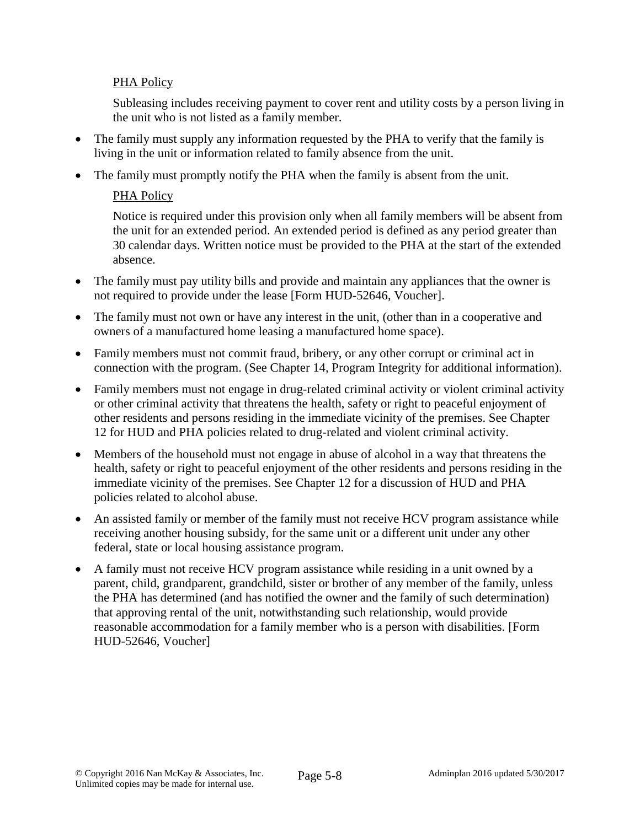# PHA Policy

Subleasing includes receiving payment to cover rent and utility costs by a person living in the unit who is not listed as a family member.

- The family must supply any information requested by the PHA to verify that the family is living in the unit or information related to family absence from the unit.
- The family must promptly notify the PHA when the family is absent from the unit.

# PHA Policy

Notice is required under this provision only when all family members will be absent from the unit for an extended period. An extended period is defined as any period greater than 30 calendar days. Written notice must be provided to the PHA at the start of the extended absence.

- The family must pay utility bills and provide and maintain any appliances that the owner is not required to provide under the lease [Form HUD-52646, Voucher].
- The family must not own or have any interest in the unit, (other than in a cooperative and owners of a manufactured home leasing a manufactured home space).
- Family members must not commit fraud, bribery, or any other corrupt or criminal act in connection with the program. (See Chapter 14, Program Integrity for additional information).
- Family members must not engage in drug-related criminal activity or violent criminal activity or other criminal activity that threatens the health, safety or right to peaceful enjoyment of other residents and persons residing in the immediate vicinity of the premises. See Chapter 12 for HUD and PHA policies related to drug-related and violent criminal activity.
- Members of the household must not engage in abuse of alcohol in a way that threatens the health, safety or right to peaceful enjoyment of the other residents and persons residing in the immediate vicinity of the premises. See Chapter 12 for a discussion of HUD and PHA policies related to alcohol abuse.
- An assisted family or member of the family must not receive HCV program assistance while receiving another housing subsidy, for the same unit or a different unit under any other federal, state or local housing assistance program.
- A family must not receive HCV program assistance while residing in a unit owned by a parent, child, grandparent, grandchild, sister or brother of any member of the family, unless the PHA has determined (and has notified the owner and the family of such determination) that approving rental of the unit, notwithstanding such relationship, would provide reasonable accommodation for a family member who is a person with disabilities. [Form HUD-52646, Voucher]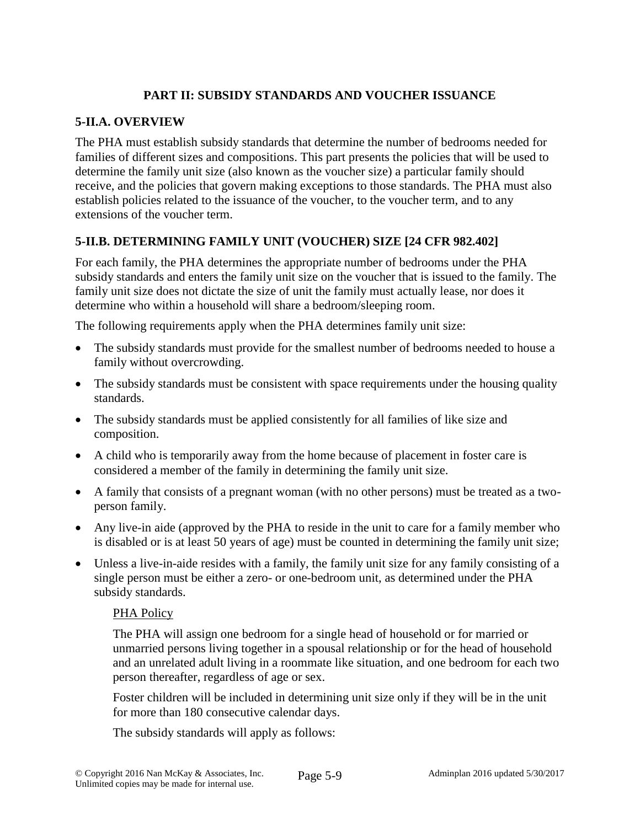# **PART II: SUBSIDY STANDARDS AND VOUCHER ISSUANCE**

## **5-II.A. OVERVIEW**

The PHA must establish subsidy standards that determine the number of bedrooms needed for families of different sizes and compositions. This part presents the policies that will be used to determine the family unit size (also known as the voucher size) a particular family should receive, and the policies that govern making exceptions to those standards. The PHA must also establish policies related to the issuance of the voucher, to the voucher term, and to any extensions of the voucher term.

# **5-II.B. DETERMINING FAMILY UNIT (VOUCHER) SIZE [24 CFR 982.402]**

For each family, the PHA determines the appropriate number of bedrooms under the PHA subsidy standards and enters the family unit size on the voucher that is issued to the family. The family unit size does not dictate the size of unit the family must actually lease, nor does it determine who within a household will share a bedroom/sleeping room.

The following requirements apply when the PHA determines family unit size:

- The subsidy standards must provide for the smallest number of bedrooms needed to house a family without overcrowding.
- The subsidy standards must be consistent with space requirements under the housing quality standards.
- The subsidy standards must be applied consistently for all families of like size and composition.
- A child who is temporarily away from the home because of placement in foster care is considered a member of the family in determining the family unit size.
- A family that consists of a pregnant woman (with no other persons) must be treated as a twoperson family.
- Any live-in aide (approved by the PHA to reside in the unit to care for a family member who is disabled or is at least 50 years of age) must be counted in determining the family unit size;
- Unless a live-in-aide resides with a family, the family unit size for any family consisting of a single person must be either a zero- or one-bedroom unit, as determined under the PHA subsidy standards.

#### PHA Policy

The PHA will assign one bedroom for a single head of household or for married or unmarried persons living together in a spousal relationship or for the head of household and an unrelated adult living in a roommate like situation, and one bedroom for each two person thereafter, regardless of age or sex.

Foster children will be included in determining unit size only if they will be in the unit for more than 180 consecutive calendar days.

The subsidy standards will apply as follows: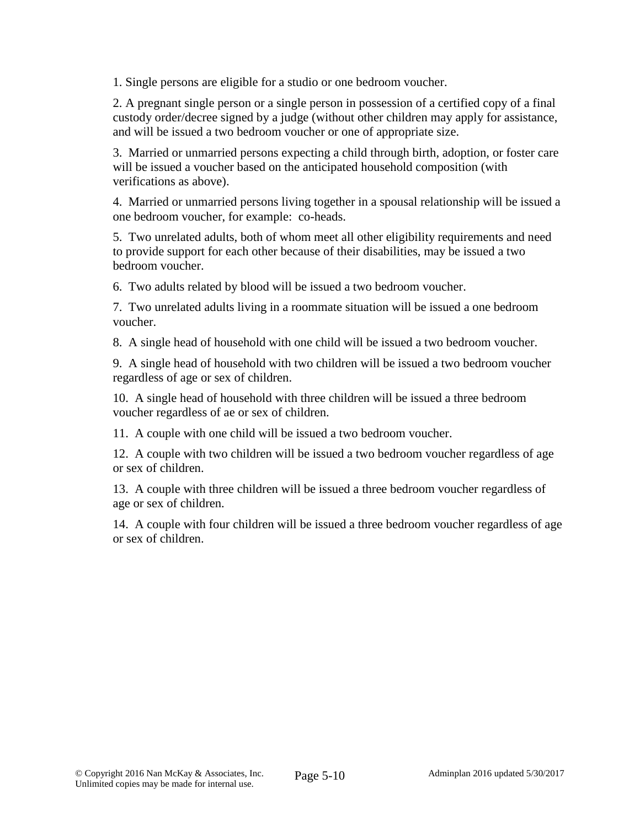1. Single persons are eligible for a studio or one bedroom voucher.

2. A pregnant single person or a single person in possession of a certified copy of a final custody order/decree signed by a judge (without other children may apply for assistance, and will be issued a two bedroom voucher or one of appropriate size.

3. Married or unmarried persons expecting a child through birth, adoption, or foster care will be issued a voucher based on the anticipated household composition (with verifications as above).

4. Married or unmarried persons living together in a spousal relationship will be issued a one bedroom voucher, for example: co-heads.

5. Two unrelated adults, both of whom meet all other eligibility requirements and need to provide support for each other because of their disabilities, may be issued a two bedroom voucher.

6. Two adults related by blood will be issued a two bedroom voucher.

7. Two unrelated adults living in a roommate situation will be issued a one bedroom voucher.

8. A single head of household with one child will be issued a two bedroom voucher.

9. A single head of household with two children will be issued a two bedroom voucher regardless of age or sex of children.

10. A single head of household with three children will be issued a three bedroom voucher regardless of ae or sex of children.

11. A couple with one child will be issued a two bedroom voucher.

12. A couple with two children will be issued a two bedroom voucher regardless of age or sex of children.

13. A couple with three children will be issued a three bedroom voucher regardless of age or sex of children.

14. A couple with four children will be issued a three bedroom voucher regardless of age or sex of children.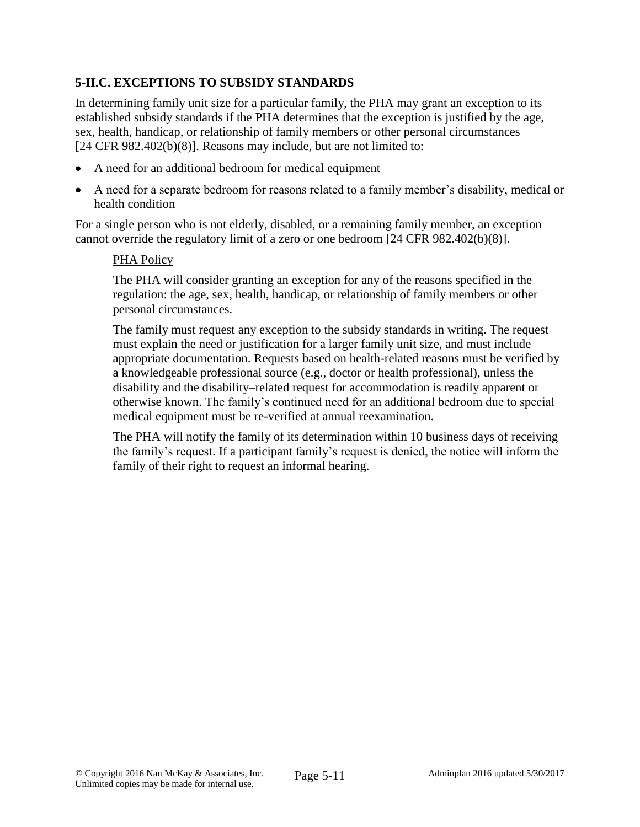# **5-II.C. EXCEPTIONS TO SUBSIDY STANDARDS**

In determining family unit size for a particular family, the PHA may grant an exception to its established subsidy standards if the PHA determines that the exception is justified by the age, sex, health, handicap, or relationship of family members or other personal circumstances [24 CFR 982.402(b)(8)]. Reasons may include, but are not limited to:

- A need for an additional bedroom for medical equipment
- A need for a separate bedroom for reasons related to a family member's disability, medical or health condition

For a single person who is not elderly, disabled, or a remaining family member, an exception cannot override the regulatory limit of a zero or one bedroom [24 CFR 982.402(b)(8)].

### PHA Policy

The PHA will consider granting an exception for any of the reasons specified in the regulation: the age, sex, health, handicap, or relationship of family members or other personal circumstances.

The family must request any exception to the subsidy standards in writing. The request must explain the need or justification for a larger family unit size, and must include appropriate documentation. Requests based on health-related reasons must be verified by a knowledgeable professional source (e.g., doctor or health professional), unless the disability and the disability–related request for accommodation is readily apparent or otherwise known. The family's continued need for an additional bedroom due to special medical equipment must be re-verified at annual reexamination.

The PHA will notify the family of its determination within 10 business days of receiving the family's request. If a participant family's request is denied, the notice will inform the family of their right to request an informal hearing.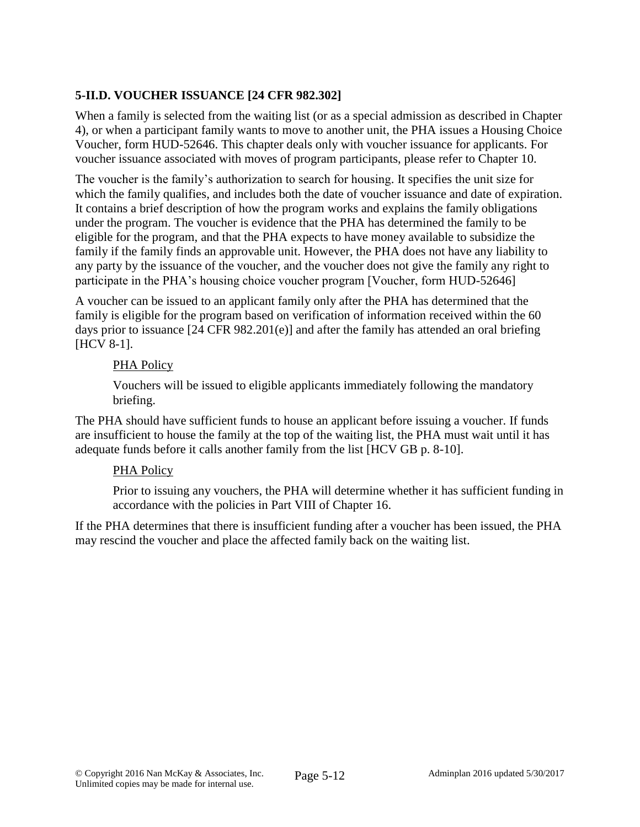# **5-II.D. VOUCHER ISSUANCE [24 CFR 982.302]**

When a family is selected from the waiting list (or as a special admission as described in Chapter 4), or when a participant family wants to move to another unit, the PHA issues a Housing Choice Voucher, form HUD-52646. This chapter deals only with voucher issuance for applicants. For voucher issuance associated with moves of program participants, please refer to Chapter 10.

The voucher is the family's authorization to search for housing. It specifies the unit size for which the family qualifies, and includes both the date of voucher issuance and date of expiration. It contains a brief description of how the program works and explains the family obligations under the program. The voucher is evidence that the PHA has determined the family to be eligible for the program, and that the PHA expects to have money available to subsidize the family if the family finds an approvable unit. However, the PHA does not have any liability to any party by the issuance of the voucher, and the voucher does not give the family any right to participate in the PHA's housing choice voucher program [Voucher, form HUD-52646]

A voucher can be issued to an applicant family only after the PHA has determined that the family is eligible for the program based on verification of information received within the 60 days prior to issuance [24 CFR 982.201(e)] and after the family has attended an oral briefing [HCV 8-1].

## PHA Policy

Vouchers will be issued to eligible applicants immediately following the mandatory briefing.

The PHA should have sufficient funds to house an applicant before issuing a voucher. If funds are insufficient to house the family at the top of the waiting list, the PHA must wait until it has adequate funds before it calls another family from the list [HCV GB p. 8-10].

## PHA Policy

Prior to issuing any vouchers, the PHA will determine whether it has sufficient funding in accordance with the policies in Part VIII of Chapter 16.

If the PHA determines that there is insufficient funding after a voucher has been issued, the PHA may rescind the voucher and place the affected family back on the waiting list.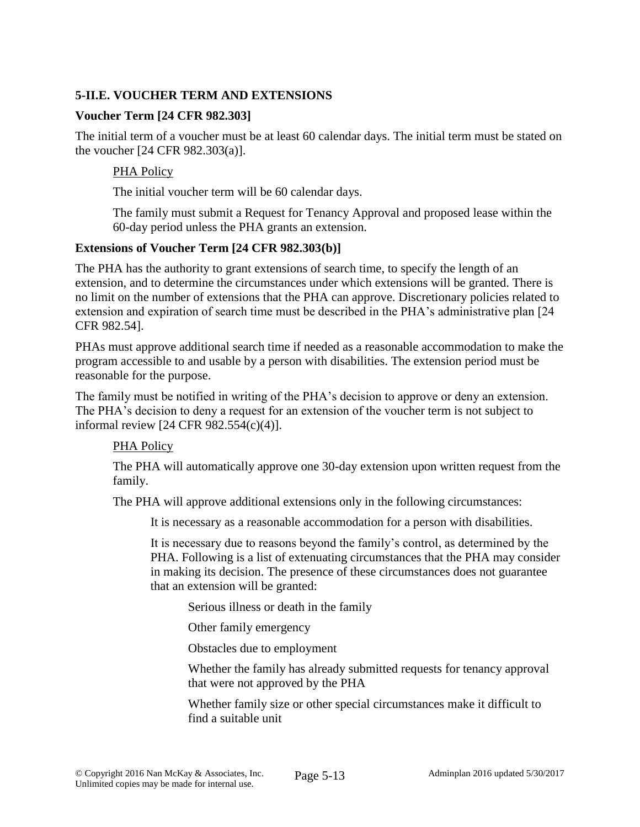# **5-II.E. VOUCHER TERM AND EXTENSIONS**

### **Voucher Term [24 CFR 982.303]**

The initial term of a voucher must be at least 60 calendar days. The initial term must be stated on the voucher [24 CFR 982.303(a)].

### PHA Policy

The initial voucher term will be 60 calendar days.

The family must submit a Request for Tenancy Approval and proposed lease within the 60-day period unless the PHA grants an extension.

#### **Extensions of Voucher Term [24 CFR 982.303(b)]**

The PHA has the authority to grant extensions of search time, to specify the length of an extension, and to determine the circumstances under which extensions will be granted. There is no limit on the number of extensions that the PHA can approve. Discretionary policies related to extension and expiration of search time must be described in the PHA's administrative plan [24 CFR 982.54].

PHAs must approve additional search time if needed as a reasonable accommodation to make the program accessible to and usable by a person with disabilities. The extension period must be reasonable for the purpose.

The family must be notified in writing of the PHA's decision to approve or deny an extension. The PHA's decision to deny a request for an extension of the voucher term is not subject to informal review [24 CFR 982.554(c)(4)].

#### PHA Policy

The PHA will automatically approve one 30-day extension upon written request from the family.

The PHA will approve additional extensions only in the following circumstances:

It is necessary as a reasonable accommodation for a person with disabilities.

It is necessary due to reasons beyond the family's control, as determined by the PHA. Following is a list of extenuating circumstances that the PHA may consider in making its decision. The presence of these circumstances does not guarantee that an extension will be granted:

Serious illness or death in the family

Other family emergency

Obstacles due to employment

Whether the family has already submitted requests for tenancy approval that were not approved by the PHA

Whether family size or other special circumstances make it difficult to find a suitable unit